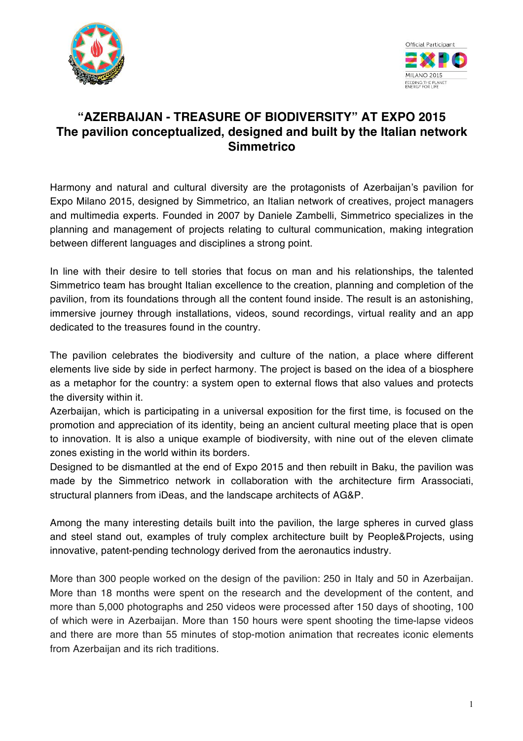



# **"AZERBAIJAN - TREASURE OF BIODIVERSITY" AT EXPO 2015 The pavilion conceptualized, designed and built by the Italian network Simmetrico**

Harmony and natural and cultural diversity are the protagonists of Azerbaijan's pavilion for Expo Milano 2015, designed by Simmetrico, an Italian network of creatives, project managers and multimedia experts. Founded in 2007 by Daniele Zambelli, Simmetrico specializes in the planning and management of projects relating to cultural communication, making integration between different languages and disciplines a strong point.

In line with their desire to tell stories that focus on man and his relationships, the talented Simmetrico team has brought Italian excellence to the creation, planning and completion of the pavilion, from its foundations through all the content found inside. The result is an astonishing, immersive journey through installations, videos, sound recordings, virtual reality and an app dedicated to the treasures found in the country.

The pavilion celebrates the biodiversity and culture of the nation, a place where different elements live side by side in perfect harmony. The project is based on the idea of a biosphere as a metaphor for the country: a system open to external flows that also values and protects the diversity within it.

Azerbaijan, which is participating in a universal exposition for the first time, is focused on the promotion and appreciation of its identity, being an ancient cultural meeting place that is open to innovation. It is also a unique example of biodiversity, with nine out of the eleven climate zones existing in the world within its borders.

Designed to be dismantled at the end of Expo 2015 and then rebuilt in Baku, the pavilion was made by the Simmetrico network in collaboration with the architecture firm Arassociati, structural planners from iDeas, and the landscape architects of AG&P.

Among the many interesting details built into the pavilion, the large spheres in curved glass and steel stand out, examples of truly complex architecture built by People&Projects, using innovative, patent-pending technology derived from the aeronautics industry.

More than 300 people worked on the design of the pavilion: 250 in Italy and 50 in Azerbaijan. More than 18 months were spent on the research and the development of the content, and more than 5,000 photographs and 250 videos were processed after 150 days of shooting, 100 of which were in Azerbaijan. More than 150 hours were spent shooting the time-lapse videos and there are more than 55 minutes of stop-motion animation that recreates iconic elements from Azerbaijan and its rich traditions.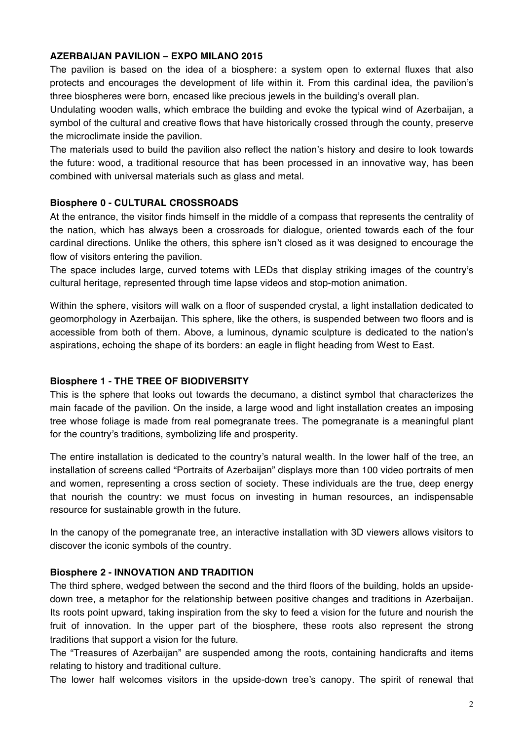#### **AZERBAIJAN PAVILION – EXPO MILANO 2015**

The pavilion is based on the idea of a biosphere: a system open to external fluxes that also protects and encourages the development of life within it. From this cardinal idea, the pavilion's three biospheres were born, encased like precious jewels in the building's overall plan.

Undulating wooden walls, which embrace the building and evoke the typical wind of Azerbaijan, a symbol of the cultural and creative flows that have historically crossed through the county, preserve the microclimate inside the pavilion.

The materials used to build the pavilion also reflect the nation's history and desire to look towards the future: wood, a traditional resource that has been processed in an innovative way, has been combined with universal materials such as glass and metal.

#### **Biosphere 0 - CULTURAL CROSSROADS**

At the entrance, the visitor finds himself in the middle of a compass that represents the centrality of the nation, which has always been a crossroads for dialogue, oriented towards each of the four cardinal directions. Unlike the others, this sphere isn't closed as it was designed to encourage the flow of visitors entering the pavilion.

The space includes large, curved totems with LEDs that display striking images of the country's cultural heritage, represented through time lapse videos and stop-motion animation.

Within the sphere, visitors will walk on a floor of suspended crystal, a light installation dedicated to geomorphology in Azerbaijan. This sphere, like the others, is suspended between two floors and is accessible from both of them. Above, a luminous, dynamic sculpture is dedicated to the nation's aspirations, echoing the shape of its borders: an eagle in flight heading from West to East.

# **Biosphere 1 - THE TREE OF BIODIVERSITY**

This is the sphere that looks out towards the decumano, a distinct symbol that characterizes the main facade of the pavilion. On the inside, a large wood and light installation creates an imposing tree whose foliage is made from real pomegranate trees. The pomegranate is a meaningful plant for the country's traditions, symbolizing life and prosperity.

The entire installation is dedicated to the country's natural wealth. In the lower half of the tree, an installation of screens called "Portraits of Azerbaijan" displays more than 100 video portraits of men and women, representing a cross section of society. These individuals are the true, deep energy that nourish the country: we must focus on investing in human resources, an indispensable resource for sustainable growth in the future.

In the canopy of the pomegranate tree, an interactive installation with 3D viewers allows visitors to discover the iconic symbols of the country.

# **Biosphere 2 - INNOVATION AND TRADITION**

The third sphere, wedged between the second and the third floors of the building, holds an upsidedown tree, a metaphor for the relationship between positive changes and traditions in Azerbaijan. Its roots point upward, taking inspiration from the sky to feed a vision for the future and nourish the fruit of innovation. In the upper part of the biosphere, these roots also represent the strong traditions that support a vision for the future.

The "Treasures of Azerbaijan" are suspended among the roots, containing handicrafts and items relating to history and traditional culture.

The lower half welcomes visitors in the upside-down tree's canopy. The spirit of renewal that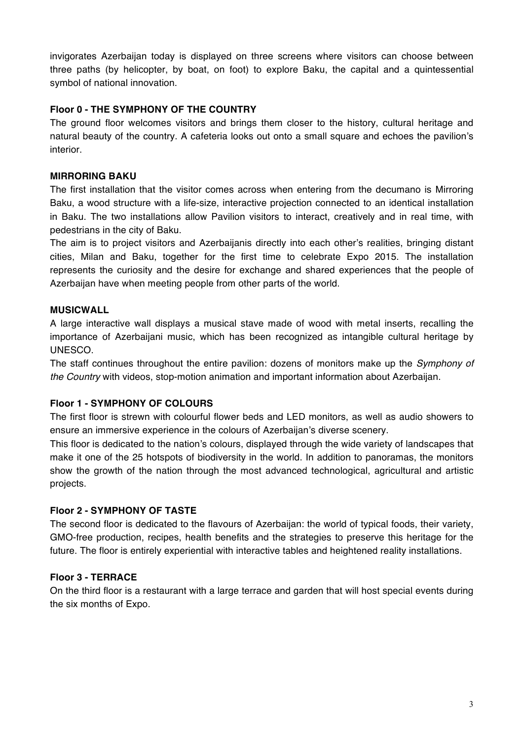invigorates Azerbaijan today is displayed on three screens where visitors can choose between three paths (by helicopter, by boat, on foot) to explore Baku, the capital and a quintessential symbol of national innovation.

# **Floor 0 - THE SYMPHONY OF THE COUNTRY**

The ground floor welcomes visitors and brings them closer to the history, cultural heritage and natural beauty of the country. A cafeteria looks out onto a small square and echoes the pavilion's interior.

# **MIRRORING BAKU**

The first installation that the visitor comes across when entering from the decumano is Mirroring Baku, a wood structure with a life-size, interactive projection connected to an identical installation in Baku. The two installations allow Pavilion visitors to interact, creatively and in real time, with pedestrians in the city of Baku.

The aim is to project visitors and Azerbaijanis directly into each other's realities, bringing distant cities, Milan and Baku, together for the first time to celebrate Expo 2015. The installation represents the curiosity and the desire for exchange and shared experiences that the people of Azerbaijan have when meeting people from other parts of the world.

# **MUSICWALL**

A large interactive wall displays a musical stave made of wood with metal inserts, recalling the importance of Azerbaijani music, which has been recognized as intangible cultural heritage by UNESCO.

The staff continues throughout the entire pavilion: dozens of monitors make up the *Symphony of the Country* with videos, stop-motion animation and important information about Azerbaijan.

# **Floor 1 - SYMPHONY OF COLOURS**

The first floor is strewn with colourful flower beds and LED monitors, as well as audio showers to ensure an immersive experience in the colours of Azerbaijan's diverse scenery.

This floor is dedicated to the nation's colours, displayed through the wide variety of landscapes that make it one of the 25 hotspots of biodiversity in the world. In addition to panoramas, the monitors show the growth of the nation through the most advanced technological, agricultural and artistic projects.

# **Floor 2 - SYMPHONY OF TASTE**

The second floor is dedicated to the flavours of Azerbaijan: the world of typical foods, their variety, GMO-free production, recipes, health benefits and the strategies to preserve this heritage for the future. The floor is entirely experiential with interactive tables and heightened reality installations.

# **Floor 3 - TERRACE**

On the third floor is a restaurant with a large terrace and garden that will host special events during the six months of Expo.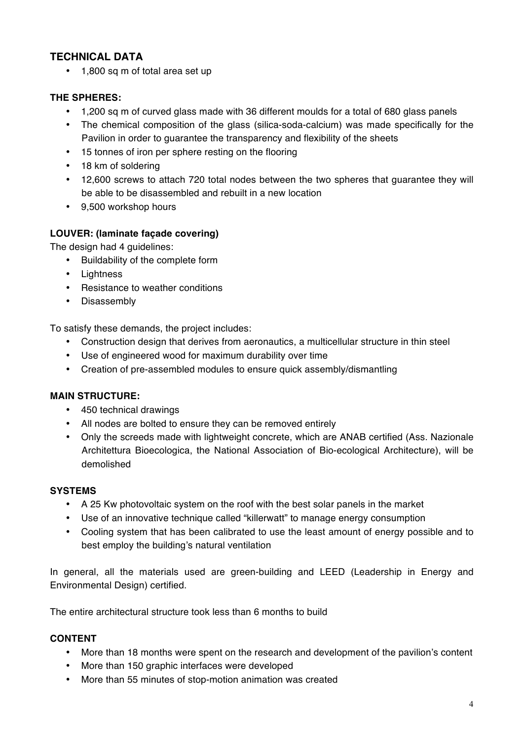# **TECHNICAL DATA**

• 1,800 sq m of total area set up

# **THE SPHERES:**

- 1,200 sq m of curved glass made with 36 different moulds for a total of 680 glass panels
- The chemical composition of the glass (silica-soda-calcium) was made specifically for the Pavilion in order to guarantee the transparency and flexibility of the sheets
- 15 tonnes of iron per sphere resting on the flooring
- 18 km of soldering
- 12,600 screws to attach 720 total nodes between the two spheres that guarantee they will be able to be disassembled and rebuilt in a new location
- 9,500 workshop hours

# **LOUVER: (laminate façade covering)**

The design had 4 guidelines:

- Buildability of the complete form
- Lightness
- Resistance to weather conditions
- Disassembly

To satisfy these demands, the project includes:

- Construction design that derives from aeronautics, a multicellular structure in thin steel
- Use of engineered wood for maximum durability over time
- Creation of pre-assembled modules to ensure quick assembly/dismantling

# **MAIN STRUCTURE:**

- 450 technical drawings
- All nodes are bolted to ensure they can be removed entirely
- Only the screeds made with lightweight concrete, which are ANAB certified (Ass. Nazionale Architettura Bioecologica, the National Association of Bio-ecological Architecture), will be demolished

#### **SYSTEMS**

- A 25 Kw photovoltaic system on the roof with the best solar panels in the market
- Use of an innovative technique called "killerwatt" to manage energy consumption
- Cooling system that has been calibrated to use the least amount of energy possible and to best employ the building's natural ventilation

In general, all the materials used are green-building and LEED (Leadership in Energy and Environmental Design) certified.

The entire architectural structure took less than 6 months to build

#### **CONTENT**

- More than 18 months were spent on the research and development of the pavilion's content
- More than 150 graphic interfaces were developed
- More than 55 minutes of stop-motion animation was created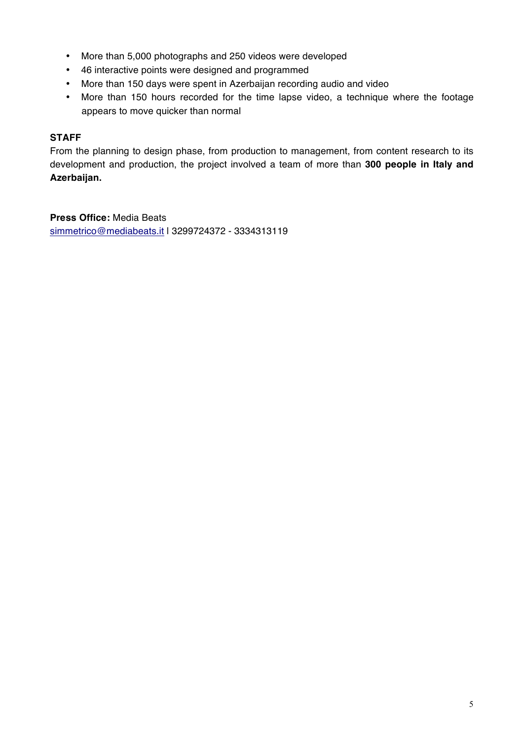- More than 5,000 photographs and 250 videos were developed
- 46 interactive points were designed and programmed
- More than 150 days were spent in Azerbaijan recording audio and video
- More than 150 hours recorded for the time lapse video, a technique where the footage appears to move quicker than normal

# **STAFF**

From the planning to design phase, from production to management, from content research to its development and production, the project involved a team of more than **300 people in Italy and Azerbaijan.**

**Press Office:** Media Beats simmetrico@mediabeats.it | 3299724372 - 3334313119